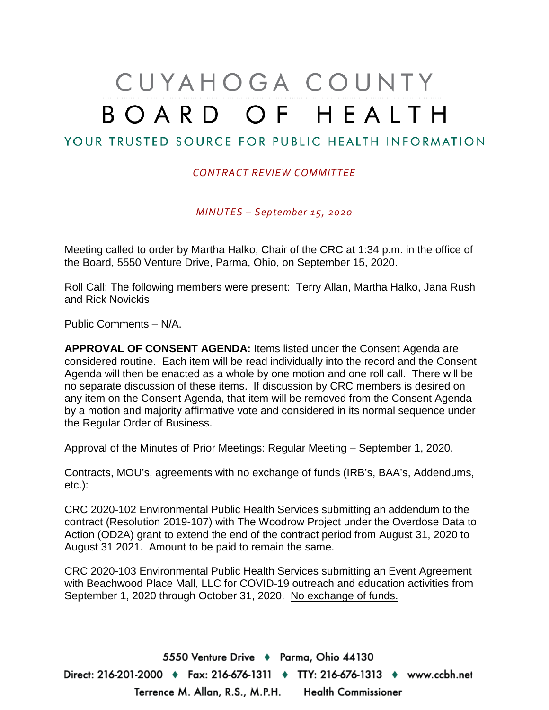# CUYAHOGA COUNTY BOARD OF HEALTH

## YOUR TRUSTED SOURCE FOR PUBLIC HEALTH INFORMATION

#### *CONTRACT REVIEW COMMITTEE*

*MINUTES – September 15, 2020*

Meeting called to order by Martha Halko, Chair of the CRC at 1:34 p.m. in the office of the Board, 5550 Venture Drive, Parma, Ohio, on September 15, 2020.

Roll Call: The following members were present: Terry Allan, Martha Halko, Jana Rush and Rick Novickis

Public Comments – N/A.

**APPROVAL OF CONSENT AGENDA:** Items listed under the Consent Agenda are considered routine. Each item will be read individually into the record and the Consent Agenda will then be enacted as a whole by one motion and one roll call. There will be no separate discussion of these items. If discussion by CRC members is desired on any item on the Consent Agenda, that item will be removed from the Consent Agenda by a motion and majority affirmative vote and considered in its normal sequence under the Regular Order of Business.

Approval of the Minutes of Prior Meetings: Regular Meeting – September 1, 2020.

Contracts, MOU's, agreements with no exchange of funds (IRB's, BAA's, Addendums, etc.):

CRC 2020-102 Environmental Public Health Services submitting an addendum to the contract (Resolution 2019-107) with The Woodrow Project under the Overdose Data to Action (OD2A) grant to extend the end of the contract period from August 31, 2020 to August 31 2021. Amount to be paid to remain the same.

CRC 2020-103 Environmental Public Health Services submitting an Event Agreement with Beachwood Place Mall, LLC for COVID-19 outreach and education activities from September 1, 2020 through October 31, 2020. No exchange of funds.

5550 Venture Drive + Parma, Ohio 44130 Direct: 216-201-2000 ♦ Fax: 216-676-1311 ♦ TTY: 216-676-1313 ♦ www.ccbh.net Terrence M. Allan, R.S., M.P.H. Health Commissioner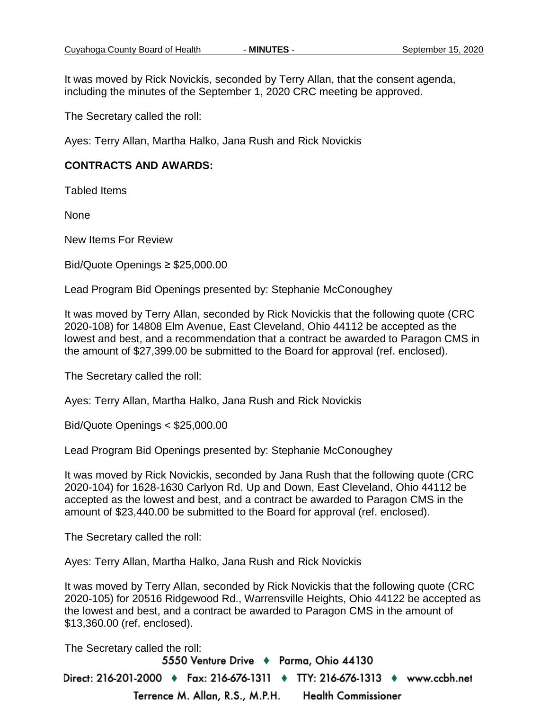It was moved by Rick Novickis, seconded by Terry Allan, that the consent agenda, including the minutes of the September 1, 2020 CRC meeting be approved.

The Secretary called the roll:

Ayes: Terry Allan, Martha Halko, Jana Rush and Rick Novickis

#### **CONTRACTS AND AWARDS:**

Tabled Items

None

New Items For Review

Bid/Quote Openings ≥ \$25,000.00

Lead Program Bid Openings presented by: Stephanie McConoughey

It was moved by Terry Allan, seconded by Rick Novickis that the following quote (CRC 2020-108) for 14808 Elm Avenue, East Cleveland, Ohio 44112 be accepted as the lowest and best, and a recommendation that a contract be awarded to Paragon CMS in the amount of \$27,399.00 be submitted to the Board for approval (ref. enclosed).

The Secretary called the roll:

Ayes: Terry Allan, Martha Halko, Jana Rush and Rick Novickis

Bid/Quote Openings < \$25,000.00

Lead Program Bid Openings presented by: Stephanie McConoughey

It was moved by Rick Novickis, seconded by Jana Rush that the following quote (CRC 2020-104) for 1628-1630 Carlyon Rd. Up and Down, East Cleveland, Ohio 44112 be accepted as the lowest and best, and a contract be awarded to Paragon CMS in the amount of \$23,440.00 be submitted to the Board for approval (ref. enclosed).

The Secretary called the roll:

Ayes: Terry Allan, Martha Halko, Jana Rush and Rick Novickis

It was moved by Terry Allan, seconded by Rick Novickis that the following quote (CRC 2020-105) for 20516 Ridgewood Rd., Warrensville Heights, Ohio 44122 be accepted as the lowest and best, and a contract be awarded to Paragon CMS in the amount of \$13,360.00 (ref. enclosed).

The Secretary called the roll:

5550 Venture Drive + Parma, Ohio 44130 Direct: 216-201-2000 ♦ Fax: 216-676-1311 ♦ TTY: 216-676-1313 ♦ www.ccbh.net Terrence M. Allan, R.S., M.P.H. **Health Commissioner**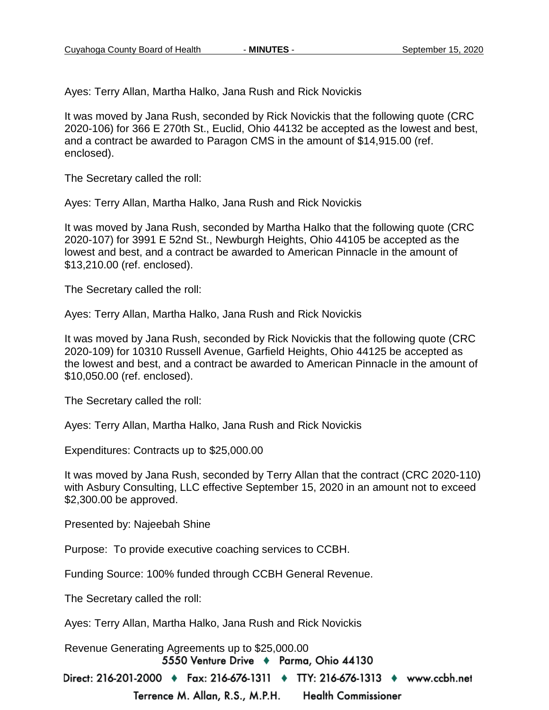Ayes: Terry Allan, Martha Halko, Jana Rush and Rick Novickis

It was moved by Jana Rush, seconded by Rick Novickis that the following quote (CRC 2020-106) for 366 E 270th St., Euclid, Ohio 44132 be accepted as the lowest and best, and a contract be awarded to Paragon CMS in the amount of \$14,915.00 (ref. enclosed).

The Secretary called the roll:

Ayes: Terry Allan, Martha Halko, Jana Rush and Rick Novickis

It was moved by Jana Rush, seconded by Martha Halko that the following quote (CRC 2020-107) for 3991 E 52nd St., Newburgh Heights, Ohio 44105 be accepted as the lowest and best, and a contract be awarded to American Pinnacle in the amount of \$13,210.00 (ref. enclosed).

The Secretary called the roll:

Ayes: Terry Allan, Martha Halko, Jana Rush and Rick Novickis

It was moved by Jana Rush, seconded by Rick Novickis that the following quote (CRC 2020-109) for 10310 Russell Avenue, Garfield Heights, Ohio 44125 be accepted as the lowest and best, and a contract be awarded to American Pinnacle in the amount of \$10,050.00 (ref. enclosed).

The Secretary called the roll:

Ayes: Terry Allan, Martha Halko, Jana Rush and Rick Novickis

Expenditures: Contracts up to \$25,000.00

It was moved by Jana Rush, seconded by Terry Allan that the contract (CRC 2020-110) with Asbury Consulting, LLC effective September 15, 2020 in an amount not to exceed \$2,300.00 be approved.

Presented by: Najeebah Shine

Purpose: To provide executive coaching services to CCBH.

Funding Source: 100% funded through CCBH General Revenue.

The Secretary called the roll:

Ayes: Terry Allan, Martha Halko, Jana Rush and Rick Novickis

Revenue Generating Agreements up to \$25,000.005550 Venture Drive + Parma, Ohio 44130

Direct: 216-201-2000 ♦ Fax: 216-676-1311 ♦ TTY: 216-676-1313 ♦ www.ccbh.net

Terrence M. Allan, R.S., M.P.H. **Health Commissioner**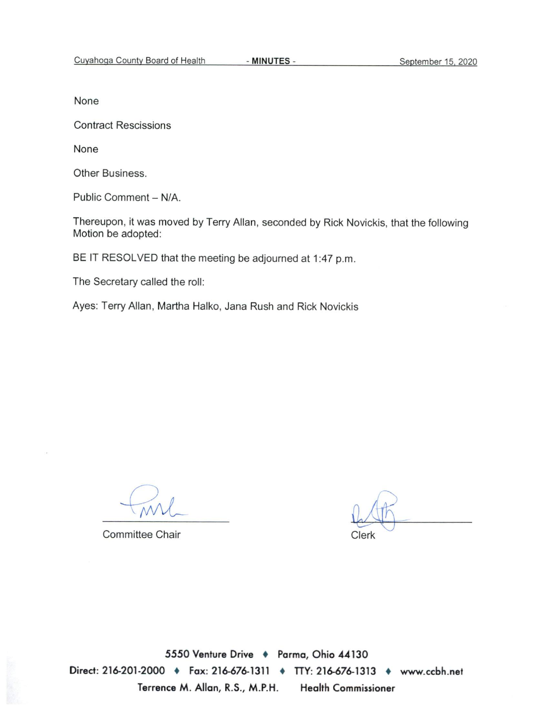None

**Contract Rescissions** 

None

Other Business.

Public Comment - N/A.

Thereupon, it was moved by Terry Allan, seconded by Rick Novickis, that the following Motion be adopted:

BE IT RESOLVED that the meeting be adjourned at 1:47 p.m.

The Secretary called the roll:

Ayes: Terry Allan, Martha Halko, Jana Rush and Rick Novickis

**Committee Chair** 

Clerk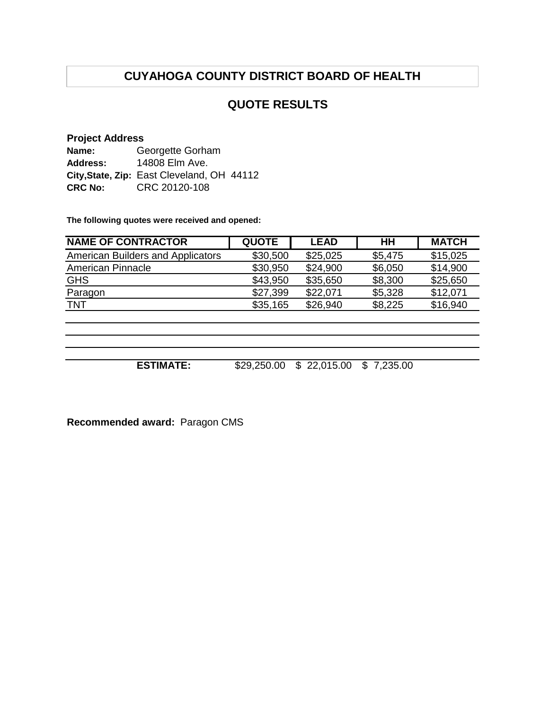## **QUOTE RESULTS**

#### **Project Address**

| Name:          | Georgette Gorham                           |
|----------------|--------------------------------------------|
| Address:       | 14808 Elm Ave.                             |
|                | City, State, Zip: East Cleveland, OH 44112 |
| <b>CRC No:</b> | CRC 20120-108                              |

**The following quotes were received and opened:**

| <b>NAME OF CONTRACTOR</b>                | <b>QUOTE</b> | <b>LEAD</b> | <b>HH</b> | <b>MATCH</b> |
|------------------------------------------|--------------|-------------|-----------|--------------|
| <b>American Builders and Applicators</b> | \$30,500     | \$25,025    | \$5,475   | \$15,025     |
| <b>American Pinnacle</b>                 | \$30,950     | \$24,900    | \$6,050   | \$14,900     |
| <b>GHS</b>                               | \$43,950     | \$35,650    | \$8,300   | \$25,650     |
| Paragon                                  | \$27,399     | \$22.071    | \$5,328   | \$12,071     |
| <b>TNT</b>                               | \$35,165     | \$26,940    | \$8,225   | \$16,940     |

**ESTIMATE:** \$29,250.00 \$ 22,015.00 \$ 7,235.00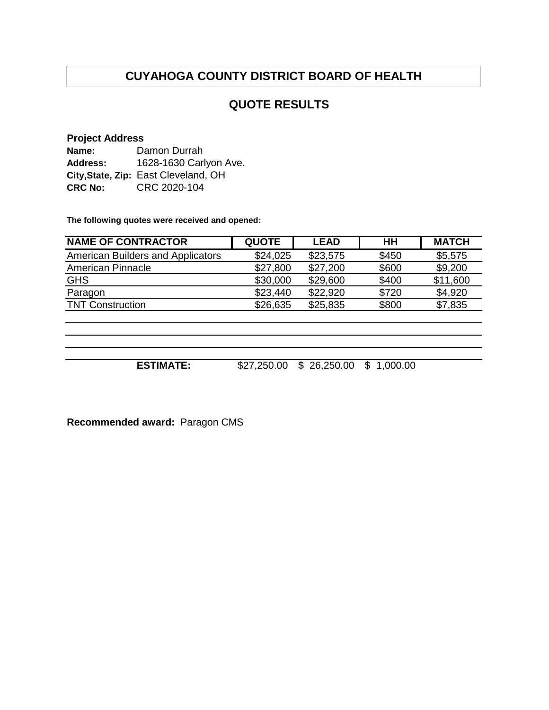## **QUOTE RESULTS**

#### **Project Address**

| Name:          | Damon Durrah                         |
|----------------|--------------------------------------|
| Address:       | 1628-1630 Carlyon Ave.               |
|                | City, State, Zip: East Cleveland, OH |
| <b>CRC No:</b> | CRC 2020-104                         |

**The following quotes were received and opened:**

| <b>NAME OF CONTRACTOR</b>                | <b>QUOTE</b> | <b>LEAD</b> | <b>HH</b> | <b>MATCH</b> |
|------------------------------------------|--------------|-------------|-----------|--------------|
| <b>American Builders and Applicators</b> | \$24,025     | \$23,575    | \$450     | \$5,575      |
| American Pinnacle                        | \$27,800     | \$27,200    | \$600     | \$9,200      |
| <b>GHS</b>                               | \$30,000     | \$29,600    | \$400     | \$11,600     |
| Paragon                                  | \$23,440     | \$22,920    | \$720     | \$4,920      |
| <b>TNT Construction</b>                  | \$26,635     | \$25,835    | \$800     | \$7,835      |
|                                          |              |             |           |              |
|                                          |              |             |           |              |

**ESTIMATE:** \$27,250.00 \$ 26,250.00 \$ 1,000.00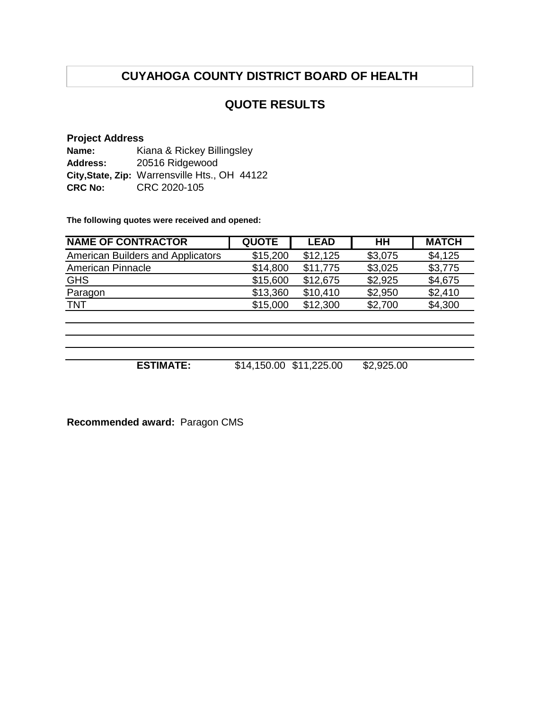## **QUOTE RESULTS**

#### **Project Address**

| Name:          | Kiana & Rickey Billingsley                    |  |  |
|----------------|-----------------------------------------------|--|--|
| Address:       | 20516 Ridgewood                               |  |  |
|                | City, State, Zip: Warrensville Hts., OH 44122 |  |  |
| <b>CRC No:</b> | CRC 2020-105                                  |  |  |

**The following quotes were received and opened:**

| <b>NAME OF CONTRACTOR</b>                | <b>QUOTE</b> | <b>LEAD</b> | <b>HH</b> | <b>MATCH</b> |
|------------------------------------------|--------------|-------------|-----------|--------------|
| <b>American Builders and Applicators</b> | \$15,200     | \$12,125    | \$3,075   | \$4,125      |
| <b>American Pinnacle</b>                 | \$14,800     | \$11,775    | \$3,025   | \$3,775      |
| <b>GHS</b>                               | \$15,600     | \$12,675    | \$2,925   | \$4,675      |
| Paragon                                  | \$13,360     | \$10,410    | \$2,950   | \$2,410      |
| <b>TNT</b>                               | \$15,000     | \$12,300    | \$2,700   | \$4,300      |
|                                          |              |             |           |              |

**ESTIMATE:** \$14,150.00 \$11,225.00 \$2,925.00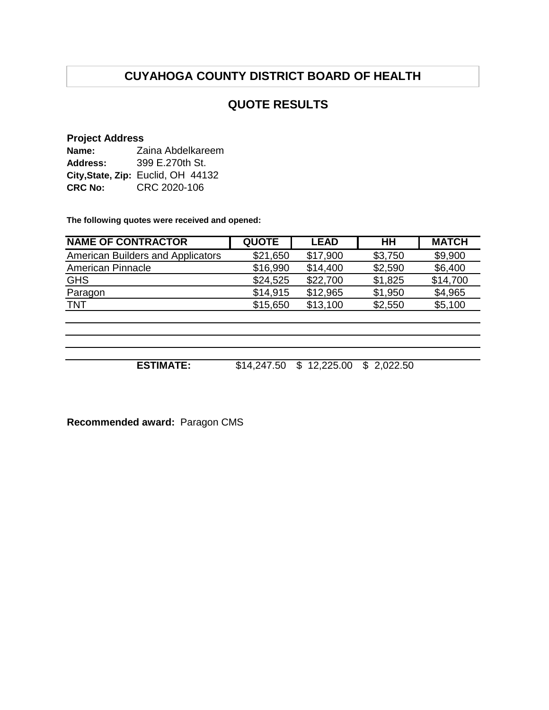## **QUOTE RESULTS**

#### **Project Address**

| Name:          | Zaina Abdelkareem                  |
|----------------|------------------------------------|
| Address:       | 399 E.270th St.                    |
|                | City, State, Zip: Euclid, OH 44132 |
| <b>CRC No:</b> | CRC 2020-106                       |

**The following quotes were received and opened:**

| <b>NAME OF CONTRACTOR</b>                | <b>QUOTE</b> | <b>LEAD</b> | HH      | <b>MATCH</b> |
|------------------------------------------|--------------|-------------|---------|--------------|
| <b>American Builders and Applicators</b> | \$21,650     | \$17,900    | \$3,750 | \$9,900      |
| <b>American Pinnacle</b>                 | \$16,990     | \$14,400    | \$2,590 | \$6,400      |
| <b>GHS</b>                               | \$24,525     | \$22,700    | \$1,825 | \$14,700     |
| Paragon                                  | \$14,915     | \$12,965    | \$1,950 | \$4,965      |
| <b>TNT</b>                               | \$15,650     | \$13,100    | \$2,550 | \$5,100      |
|                                          |              |             |         |              |
|                                          |              |             |         |              |
|                                          |              |             |         |              |

**ESTIMATE:** \$14,247.50 \$ 12,225.00 \$ 2,022.50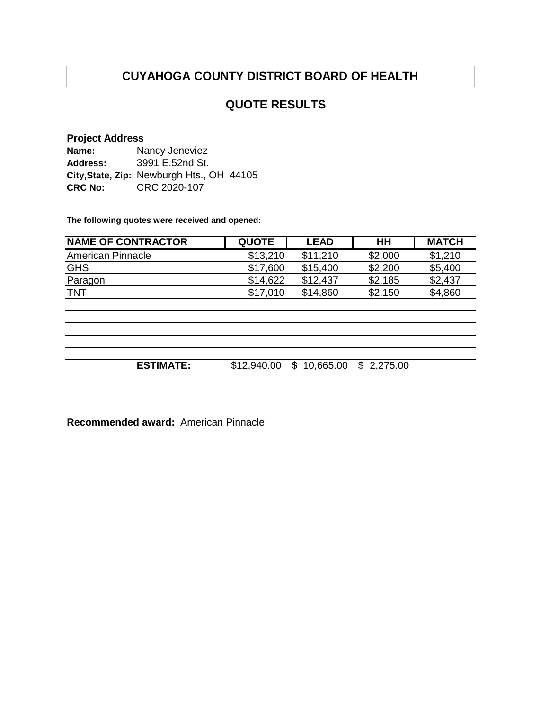## **QUOTE RESULTS**

#### **Project Address**

| Name:           | Nancy Jeneviez                            |
|-----------------|-------------------------------------------|
| <b>Address:</b> | 3991 E.52nd St.                           |
|                 | City, State, Zip: Newburgh Hts., OH 44105 |
| <b>CRC No:</b>  | CRC 2020-107                              |

**The following quotes were received and opened:**

| <b>NAME OF CONTRACTOR</b> | <b>QUOTE</b> | <b>LEAD</b> | HН      | <b>MATCH</b> |
|---------------------------|--------------|-------------|---------|--------------|
| American Pinnacle         | \$13.210     | \$11.210    | \$2,000 | \$1,210      |
| <b>GHS</b>                | \$17,600     | \$15,400    | \$2,200 | \$5,400      |
| Paragon                   | \$14.622     | \$12.437    | \$2,185 | \$2,437      |
| <b>TNT</b>                | \$17.010     | \$14,860    | \$2,150 | \$4,860      |
|                           |              |             |         |              |

**ESTIMATE:** \$12,940.00 \$ 10,665.00 \$ 2,275.00

**Recommended award:** American Pinnacle